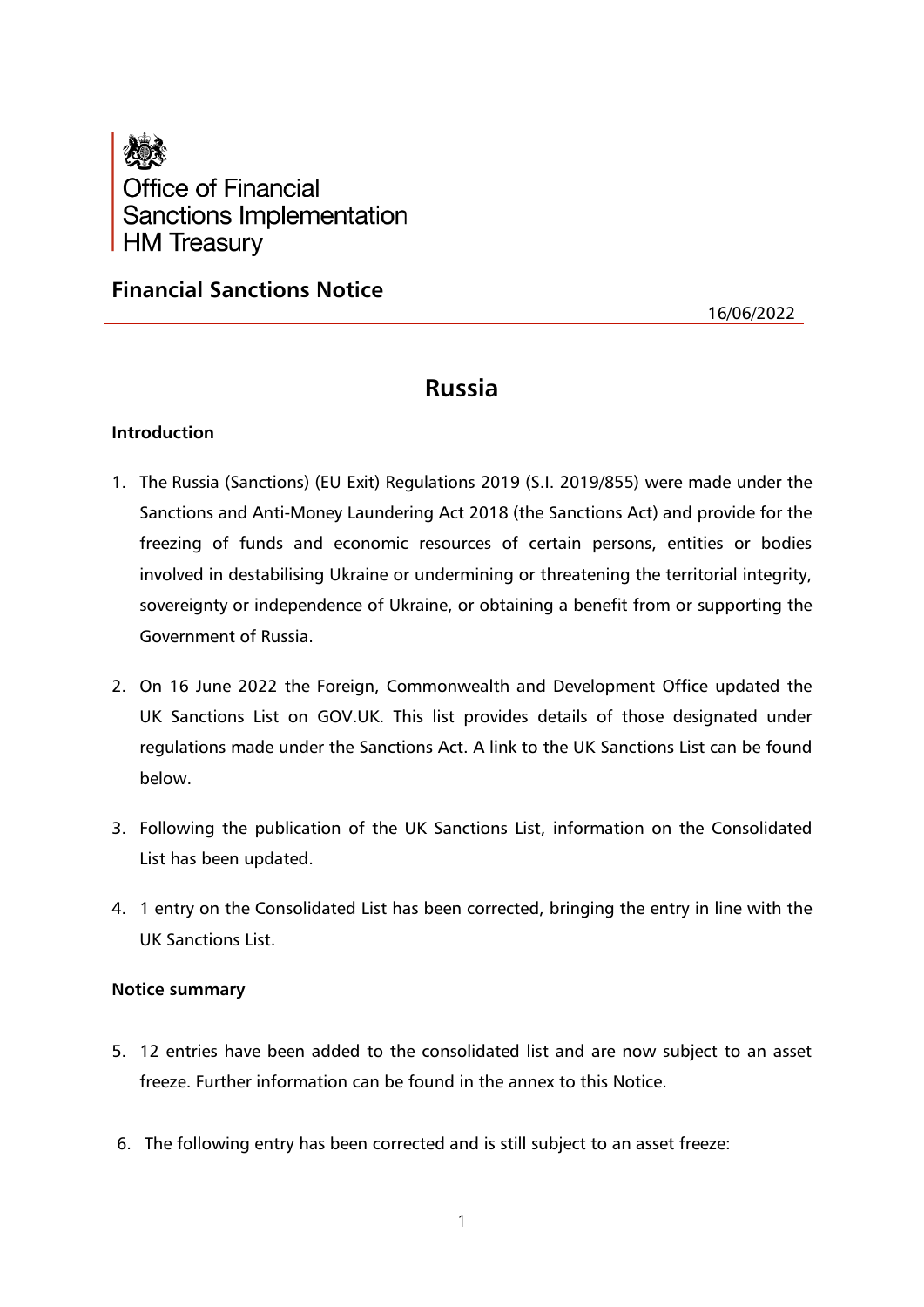

## **Financial Sanctions Notice**

16/06/2022

# **Russia**

## **Introduction**

- 1. The Russia (Sanctions) (EU Exit) Regulations 2019 (S.I. 2019/855) were made under the Sanctions and Anti-Money Laundering Act 2018 (the Sanctions Act) and provide for the freezing of funds and economic resources of certain persons, entities or bodies involved in destabilising Ukraine or undermining or threatening the territorial integrity, sovereignty or independence of Ukraine, or obtaining a benefit from or supporting the Government of Russia.
- 2. On 16 June 2022 the Foreign, Commonwealth and Development Office updated the UK Sanctions List on GOV.UK. This list provides details of those designated under regulations made under the Sanctions Act. A link to the UK Sanctions List can be found below.
- 3. Following the publication of the UK Sanctions List, information on the Consolidated List has been updated.
- 4. 1 entry on the Consolidated List has been corrected, bringing the entry in line with the UK Sanctions List.

## **Notice summary**

- 5. 12 entries have been added to the consolidated list and are now subject to an asset freeze. Further information can be found in the annex to this Notice.
- 6. The following entry has been corrected and is still subject to an asset freeze: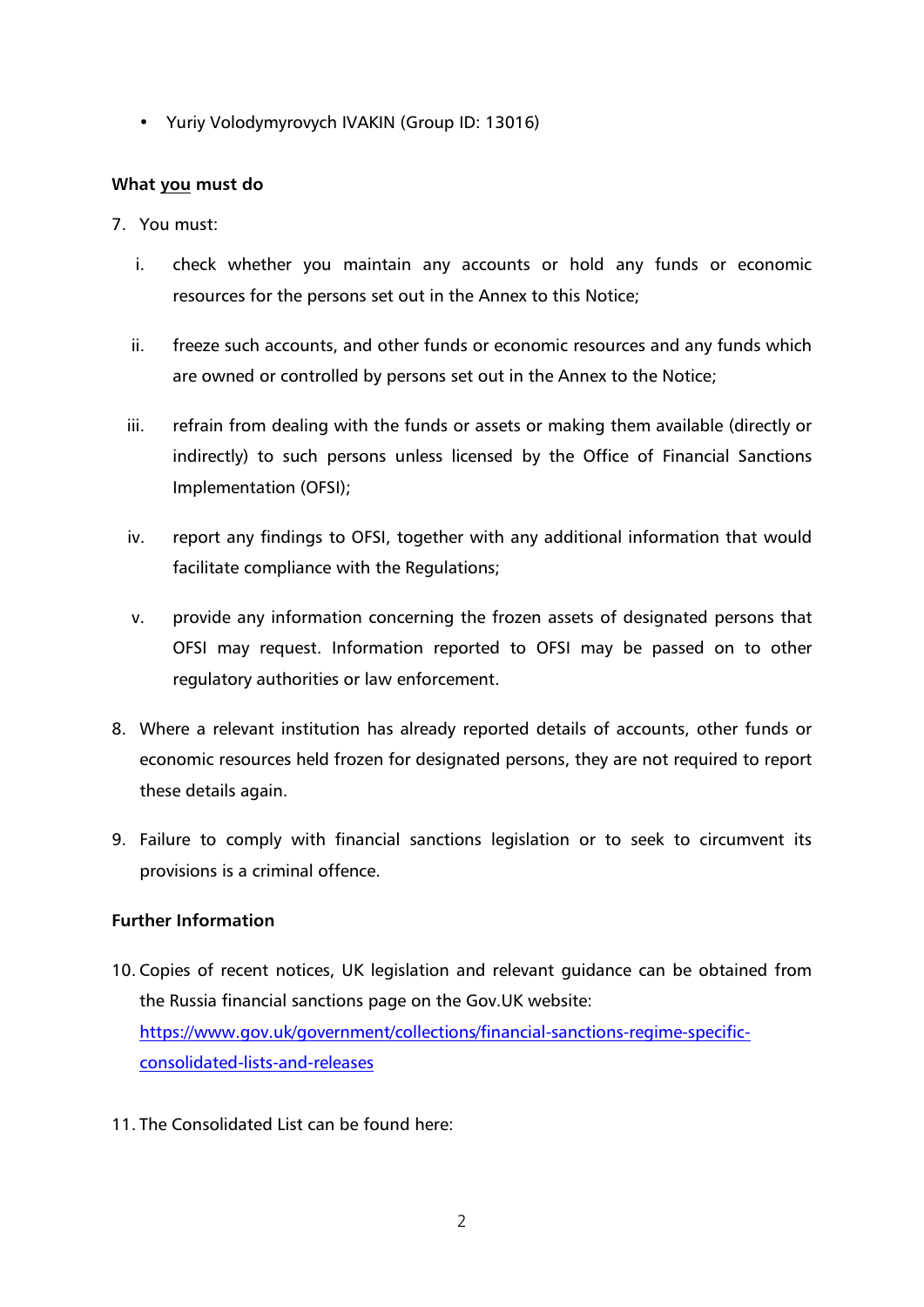• Yuriy Volodymyrovych IVAKIN (Group ID: 13016)

#### **What you must do**

- 7. You must:
	- i. check whether you maintain any accounts or hold any funds or economic resources for the persons set out in the Annex to this Notice;
	- ii. freeze such accounts, and other funds or economic resources and any funds which are owned or controlled by persons set out in the Annex to the Notice;
	- iii. refrain from dealing with the funds or assets or making them available (directly or indirectly) to such persons unless licensed by the Office of Financial Sanctions Implementation (OFSI);
	- iv. report any findings to OFSI, together with any additional information that would facilitate compliance with the Regulations;
	- v. provide any information concerning the frozen assets of designated persons that OFSI may request. Information reported to OFSI may be passed on to other regulatory authorities or law enforcement.
- 8. Where a relevant institution has already reported details of accounts, other funds or economic resources held frozen for designated persons, they are not required to report these details again.
- 9. Failure to comply with financial sanctions legislation or to seek to circumvent its provisions is a criminal offence.

## **Further Information**

- 10. Copies of recent notices, UK legislation and relevant guidance can be obtained from the Russia financial sanctions page on the Gov.UK website: [https://www.gov.uk/government/collections/financial-sanctions-regime-specific](https://www.gov.uk/government/collections/financial-sanctions-regime-specific-consolidated-lists-and-releases)[consolidated-lists-and-releases](https://www.gov.uk/government/collections/financial-sanctions-regime-specific-consolidated-lists-and-releases)
- 11. The Consolidated List can be found here: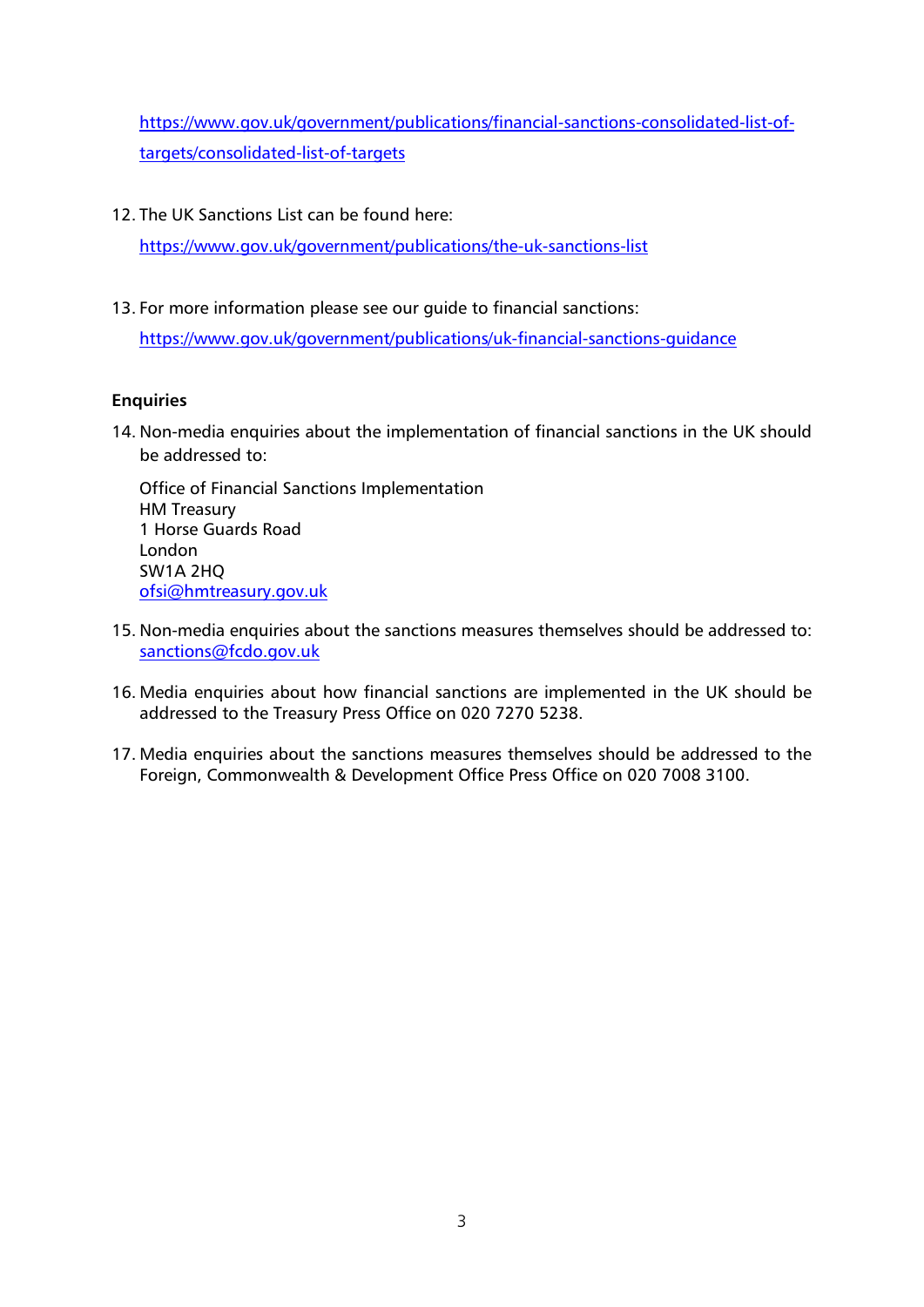[https://www.gov.uk/government/publications/financial-sanctions-consolidated-list-of](https://www.gov.uk/government/publications/financial-sanctions-consolidated-list-of-targets/consolidated-list-of-targets)[targets/consolidated-list-of-targets](https://www.gov.uk/government/publications/financial-sanctions-consolidated-list-of-targets/consolidated-list-of-targets)

12. The UK Sanctions List can be found here:

<https://www.gov.uk/government/publications/the-uk-sanctions-list>

13. For more information please see our guide to financial sanctions:

<https://www.gov.uk/government/publications/uk-financial-sanctions-guidance>

## **Enquiries**

14. Non-media enquiries about the implementation of financial sanctions in the UK should be addressed to:

Office of Financial Sanctions Implementation HM Treasury 1 Horse Guards Road London SW1A 2HQ [ofsi@hmtreasury.gov.uk](mailto:ofsi@hmtreasury.gov.uk)

- 15. Non-media enquiries about the sanctions measures themselves should be addressed to: [sanctions@fcdo.gov.uk](mailto:sanctions@fcdo.gov.uk)
- 16. Media enquiries about how financial sanctions are implemented in the UK should be addressed to the Treasury Press Office on 020 7270 5238.
- 17. Media enquiries about the sanctions measures themselves should be addressed to the Foreign, Commonwealth & Development Office Press Office on 020 7008 3100.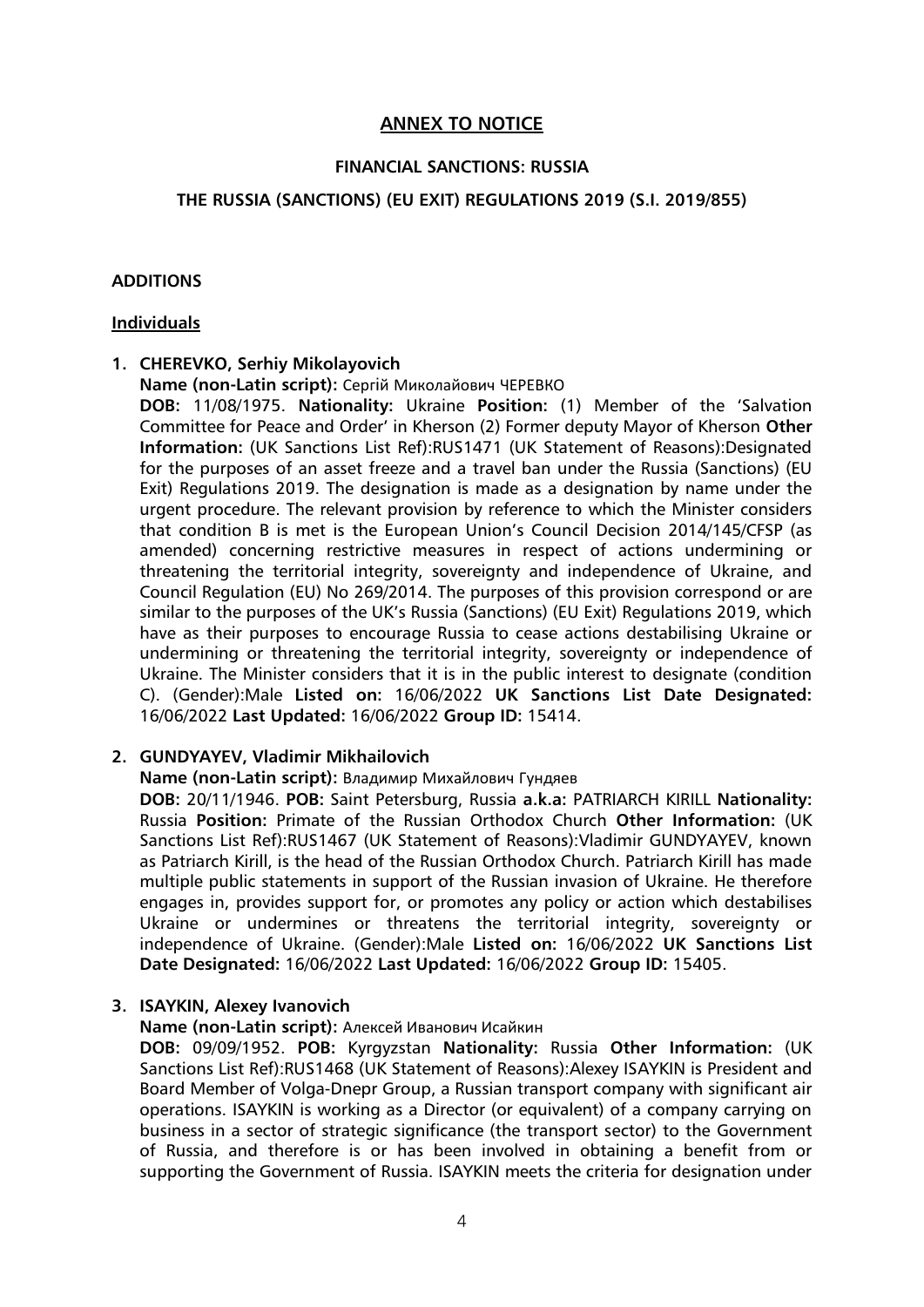## **ANNEX TO NOTICE**

#### **FINANCIAL SANCTIONS: RUSSIA**

#### **THE RUSSIA (SANCTIONS) (EU EXIT) REGULATIONS 2019 (S.I. 2019/855)**

#### **ADDITIONS**

#### **Individuals**

## **1. CHEREVKO, Serhiy Mikolayovich**

**Name (non-Latin script):** Сергiй Миколайович ЧЕРЕВКО

**DOB:** 11/08/1975. **Nationality:** Ukraine **Position:** (1) Member of the 'Salvation Committee for Peace and Order' in Kherson (2) Former deputy Mayor of Kherson **Other Information:** (UK Sanctions List Ref):RUS1471 (UK Statement of Reasons):Designated for the purposes of an asset freeze and a travel ban under the Russia (Sanctions) (EU Exit) Regulations 2019. The designation is made as a designation by name under the urgent procedure. The relevant provision by reference to which the Minister considers that condition B is met is the European Union's Council Decision 2014/145/CFSP (as amended) concerning restrictive measures in respect of actions undermining or threatening the territorial integrity, sovereignty and independence of Ukraine, and Council Regulation (EU) No 269/2014. The purposes of this provision correspond or are similar to the purposes of the UK's Russia (Sanctions) (EU Exit) Regulations 2019, which have as their purposes to encourage Russia to cease actions destabilising Ukraine or undermining or threatening the territorial integrity, sovereignty or independence of Ukraine. The Minister considers that it is in the public interest to designate (condition C). (Gender):Male **Listed on:** 16/06/2022 **UK Sanctions List Date Designated:** 16/06/2022 **Last Updated:** 16/06/2022 **Group ID:** 15414.

## **2. GUNDYAYEV, Vladimir Mikhailovich**

#### **Name (non-Latin script):** Владимир Михайлович Гундяев

**DOB:** 20/11/1946. **POB:** Saint Petersburg, Russia **a.k.a:** PATRIARCH KIRILL **Nationality:** Russia **Position:** Primate of the Russian Orthodox Church **Other Information:** (UK Sanctions List Ref):RUS1467 (UK Statement of Reasons):Vladimir GUNDYAYEV, known as Patriarch Kirill, is the head of the Russian Orthodox Church. Patriarch Kirill has made multiple public statements in support of the Russian invasion of Ukraine. He therefore engages in, provides support for, or promotes any policy or action which destabilises Ukraine or undermines or threatens the territorial integrity, sovereignty or independence of Ukraine. (Gender):Male **Listed on:** 16/06/2022 **UK Sanctions List Date Designated:** 16/06/2022 **Last Updated:** 16/06/2022 **Group ID:** 15405.

## **3. ISAYKIN, Alexey Ivanovich**

**Name (non-Latin script):** Алексей Иванович Исайкин

**DOB:** 09/09/1952. **POB:** Kyrgyzstan **Nationality:** Russia **Other Information:** (UK Sanctions List Ref):RUS1468 (UK Statement of Reasons):Alexey ISAYKIN is President and Board Member of Volga-Dnepr Group, a Russian transport company with significant air operations. ISAYKIN is working as a Director (or equivalent) of a company carrying on business in a sector of strategic significance (the transport sector) to the Government of Russia, and therefore is or has been involved in obtaining a benefit from or supporting the Government of Russia. ISAYKIN meets the criteria for designation under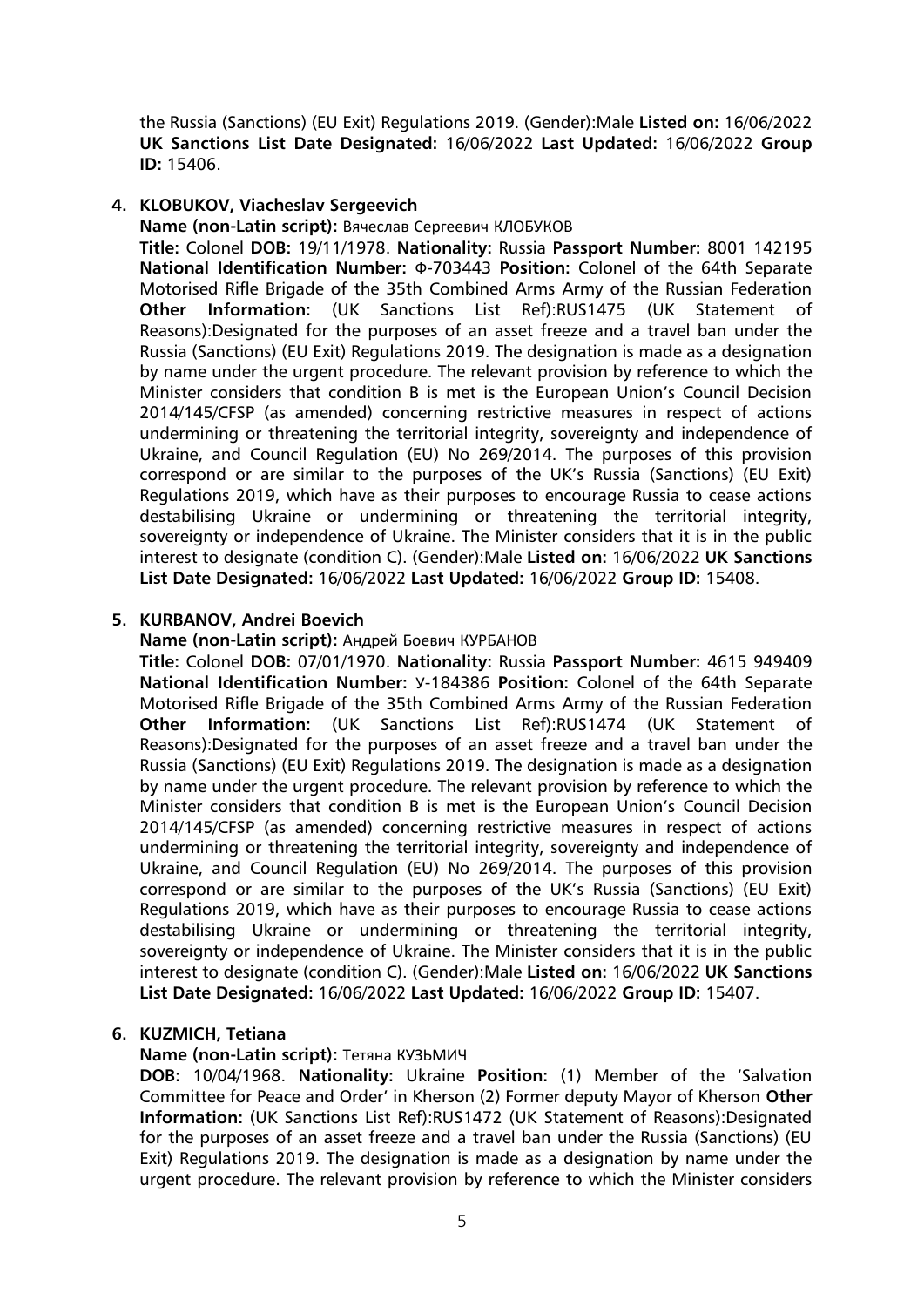the Russia (Sanctions) (EU Exit) Regulations 2019. (Gender):Male **Listed on:** 16/06/2022 **UK Sanctions List Date Designated:** 16/06/2022 **Last Updated:** 16/06/2022 **Group ID:** 15406.

## **4. KLOBUKOV, Viacheslav Sergeevich**

**Name (non-Latin script):** Вячеслав Сергеевич КЛОБУКОВ

**Title:** Colonel **DOB:** 19/11/1978. **Nationality:** Russia **Passport Number:** 8001 142195 **National Identification Number:** Ф-703443 **Position:** Colonel of the 64th Separate Motorised Rifle Brigade of the 35th Combined Arms Army of the Russian Federation **Other Information:** (UK Sanctions List Ref):RUS1475 (UK Statement of Reasons):Designated for the purposes of an asset freeze and a travel ban under the Russia (Sanctions) (EU Exit) Regulations 2019. The designation is made as a designation by name under the urgent procedure. The relevant provision by reference to which the Minister considers that condition B is met is the European Union's Council Decision 2014/145/CFSP (as amended) concerning restrictive measures in respect of actions undermining or threatening the territorial integrity, sovereignty and independence of Ukraine, and Council Regulation (EU) No 269/2014. The purposes of this provision correspond or are similar to the purposes of the UK's Russia (Sanctions) (EU Exit) Regulations 2019, which have as their purposes to encourage Russia to cease actions destabilising Ukraine or undermining or threatening the territorial integrity, sovereignty or independence of Ukraine. The Minister considers that it is in the public interest to designate (condition C). (Gender):Male **Listed on:** 16/06/2022 **UK Sanctions List Date Designated:** 16/06/2022 **Last Updated:** 16/06/2022 **Group ID:** 15408.

## **5. KURBANOV, Andrei Boevich**

**Name (non-Latin script):** Андрей Боевич КУРБАНОВ

**Title:** Colonel **DOB:** 07/01/1970. **Nationality:** Russia **Passport Number:** 4615 949409 **National Identification Number:** У-184386 **Position:** Colonel of the 64th Separate Motorised Rifle Brigade of the 35th Combined Arms Army of the Russian Federation **Other Information:** (UK Sanctions List Ref):RUS1474 (UK Statement of Reasons):Designated for the purposes of an asset freeze and a travel ban under the Russia (Sanctions) (EU Exit) Regulations 2019. The designation is made as a designation by name under the urgent procedure. The relevant provision by reference to which the Minister considers that condition B is met is the European Union's Council Decision 2014/145/CFSP (as amended) concerning restrictive measures in respect of actions undermining or threatening the territorial integrity, sovereignty and independence of Ukraine, and Council Regulation (EU) No 269/2014. The purposes of this provision correspond or are similar to the purposes of the UK's Russia (Sanctions) (EU Exit) Regulations 2019, which have as their purposes to encourage Russia to cease actions destabilising Ukraine or undermining or threatening the territorial integrity, sovereignty or independence of Ukraine. The Minister considers that it is in the public interest to designate (condition C). (Gender):Male **Listed on:** 16/06/2022 **UK Sanctions List Date Designated:** 16/06/2022 **Last Updated:** 16/06/2022 **Group ID:** 15407.

#### **6. KUZMICH, Tetiana**

**Name (non-Latin script):** Тетяна КУЗЬМИЧ

**DOB:** 10/04/1968. **Nationality:** Ukraine **Position:** (1) Member of the 'Salvation Committee for Peace and Order' in Kherson (2) Former deputy Mayor of Kherson **Other Information:** (UK Sanctions List Ref):RUS1472 (UK Statement of Reasons):Designated for the purposes of an asset freeze and a travel ban under the Russia (Sanctions) (EU Exit) Regulations 2019. The designation is made as a designation by name under the urgent procedure. The relevant provision by reference to which the Minister considers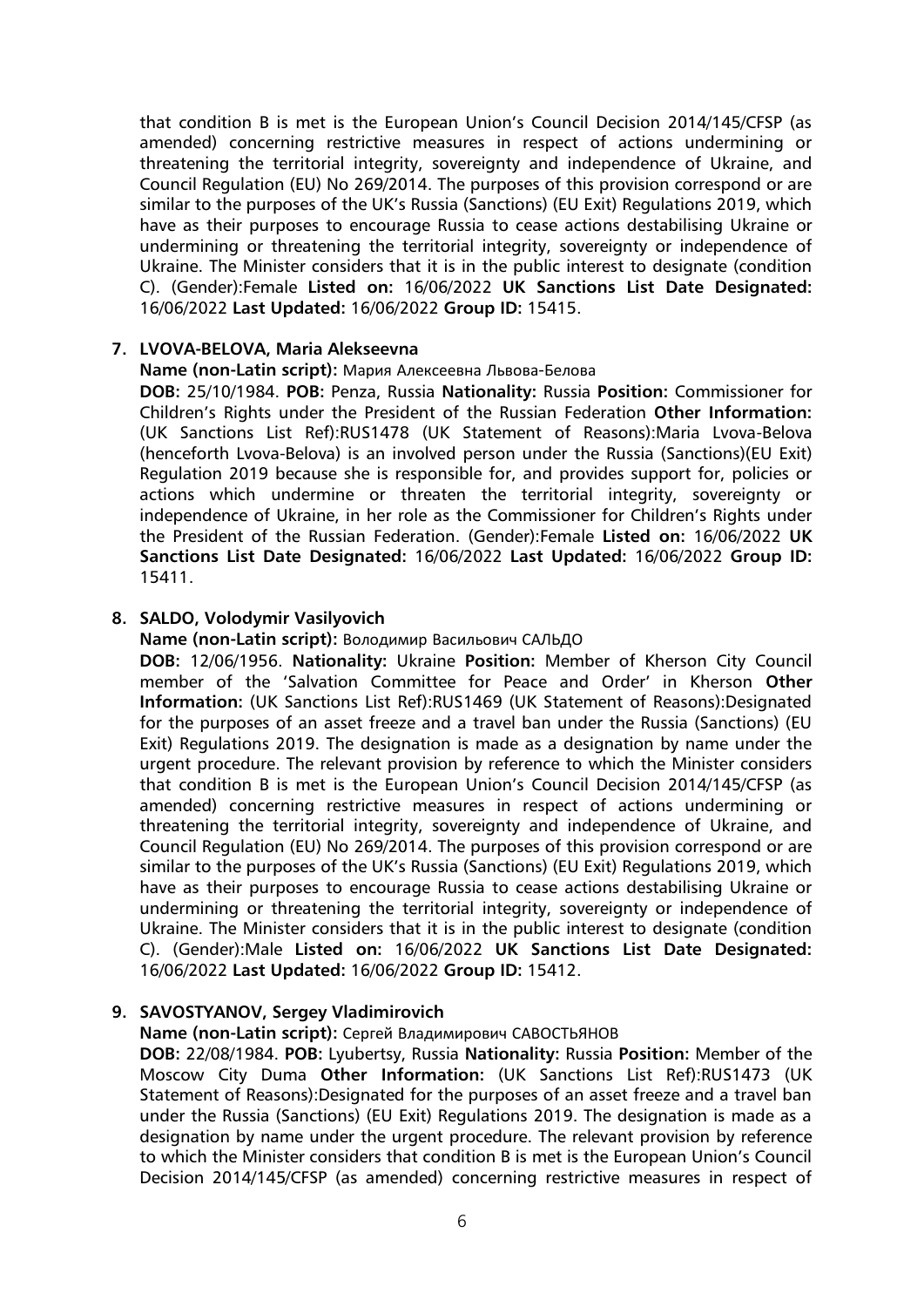that condition B is met is the European Union's Council Decision 2014/145/CFSP (as amended) concerning restrictive measures in respect of actions undermining or threatening the territorial integrity, sovereignty and independence of Ukraine, and Council Regulation (EU) No 269/2014. The purposes of this provision correspond or are similar to the purposes of the UK's Russia (Sanctions) (EU Exit) Regulations 2019, which have as their purposes to encourage Russia to cease actions destabilising Ukraine or undermining or threatening the territorial integrity, sovereignty or independence of Ukraine. The Minister considers that it is in the public interest to designate (condition C). (Gender):Female **Listed on:** 16/06/2022 **UK Sanctions List Date Designated:** 16/06/2022 **Last Updated:** 16/06/2022 **Group ID:** 15415.

#### **7. LVOVA-BELOVA, Maria Alekseevna**

#### **Name (non-Latin script):** Мария Алексеевна Львова-Белова

**DOB:** 25/10/1984. **POB:** Penza, Russia **Nationality:** Russia **Position:** Commissioner for Children's Rights under the President of the Russian Federation **Other Information:** (UK Sanctions List Ref):RUS1478 (UK Statement of Reasons):Maria Lvova-Belova (henceforth Lvova-Belova) is an involved person under the Russia (Sanctions)(EU Exit) Regulation 2019 because she is responsible for, and provides support for, policies or actions which undermine or threaten the territorial integrity, sovereignty or independence of Ukraine, in her role as the Commissioner for Children's Rights under the President of the Russian Federation. (Gender):Female **Listed on:** 16/06/2022 **UK Sanctions List Date Designated:** 16/06/2022 **Last Updated:** 16/06/2022 **Group ID:** 15411.

#### **8. SALDO, Volodymir Vasilyovich**

**Name (non-Latin script):** Володимир Васильович САЛЬДО

**DOB:** 12/06/1956. **Nationality:** Ukraine **Position:** Member of Kherson City Council member of the 'Salvation Committee for Peace and Order' in Kherson **Other Information:** (UK Sanctions List Ref):RUS1469 (UK Statement of Reasons):Designated for the purposes of an asset freeze and a travel ban under the Russia (Sanctions) (EU Exit) Regulations 2019. The designation is made as a designation by name under the urgent procedure. The relevant provision by reference to which the Minister considers that condition B is met is the European Union's Council Decision 2014/145/CFSP (as amended) concerning restrictive measures in respect of actions undermining or threatening the territorial integrity, sovereignty and independence of Ukraine, and Council Regulation (EU) No 269/2014. The purposes of this provision correspond or are similar to the purposes of the UK's Russia (Sanctions) (EU Exit) Regulations 2019, which have as their purposes to encourage Russia to cease actions destabilising Ukraine or undermining or threatening the territorial integrity, sovereignty or independence of Ukraine. The Minister considers that it is in the public interest to designate (condition C). (Gender):Male **Listed on:** 16/06/2022 **UK Sanctions List Date Designated:** 16/06/2022 **Last Updated:** 16/06/2022 **Group ID:** 15412.

## **9. SAVOSTYANOV, Sergey Vladimirovich**

**Name (non-Latin script):** Сергей Владимирович САВОСТЬЯНОВ

**DOB:** 22/08/1984. **POB:** Lyubertsy, Russia **Nationality:** Russia **Position:** Member of the Moscow City Duma **Other Information:** (UK Sanctions List Ref):RUS1473 (UK Statement of Reasons):Designated for the purposes of an asset freeze and a travel ban under the Russia (Sanctions) (EU Exit) Regulations 2019. The designation is made as a designation by name under the urgent procedure. The relevant provision by reference to which the Minister considers that condition B is met is the European Union's Council Decision 2014/145/CFSP (as amended) concerning restrictive measures in respect of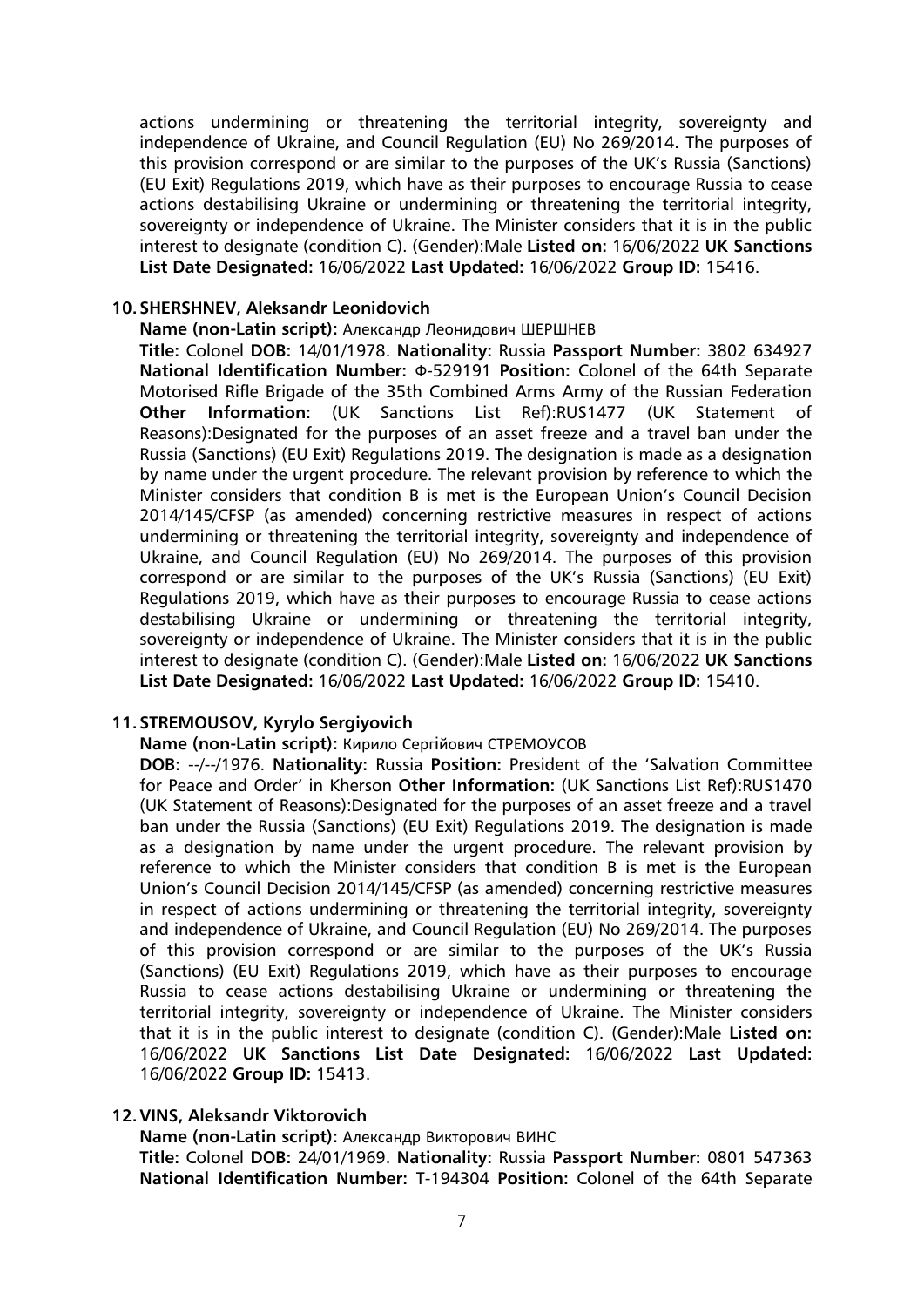actions undermining or threatening the territorial integrity, sovereignty and independence of Ukraine, and Council Regulation (EU) No 269/2014. The purposes of this provision correspond or are similar to the purposes of the UK's Russia (Sanctions) (EU Exit) Regulations 2019, which have as their purposes to encourage Russia to cease actions destabilising Ukraine or undermining or threatening the territorial integrity, sovereignty or independence of Ukraine. The Minister considers that it is in the public interest to designate (condition C). (Gender):Male **Listed on:** 16/06/2022 **UK Sanctions List Date Designated:** 16/06/2022 **Last Updated:** 16/06/2022 **Group ID:** 15416.

## **10.SHERSHNEV, Aleksandr Leonidovich**

**Name (non-Latin script):** Александр Леонидович ШЕРШНЕВ

**Title:** Colonel **DOB:** 14/01/1978. **Nationality:** Russia **Passport Number:** 3802 634927 **National Identification Number:** Ф-529191 **Position:** Colonel of the 64th Separate Motorised Rifle Brigade of the 35th Combined Arms Army of the Russian Federation **Other Information:** (UK Sanctions List Ref):RUS1477 (UK Statement of Reasons):Designated for the purposes of an asset freeze and a travel ban under the Russia (Sanctions) (EU Exit) Regulations 2019. The designation is made as a designation by name under the urgent procedure. The relevant provision by reference to which the Minister considers that condition B is met is the European Union's Council Decision 2014/145/CFSP (as amended) concerning restrictive measures in respect of actions undermining or threatening the territorial integrity, sovereignty and independence of Ukraine, and Council Regulation (EU) No 269/2014. The purposes of this provision correspond or are similar to the purposes of the UK's Russia (Sanctions) (EU Exit) Regulations 2019, which have as their purposes to encourage Russia to cease actions destabilising Ukraine or undermining or threatening the territorial integrity, sovereignty or independence of Ukraine. The Minister considers that it is in the public interest to designate (condition C). (Gender):Male **Listed on:** 16/06/2022 **UK Sanctions List Date Designated:** 16/06/2022 **Last Updated:** 16/06/2022 **Group ID:** 15410.

## **11.STREMOUSOV, Kyrylo Sergiyovich**

#### **Name (non-Latin script):** Кирило Сергiйович СТРЕМОУСОВ

**DOB:** --/--/1976. **Nationality:** Russia **Position:** President of the 'Salvation Committee for Peace and Order' in Kherson **Other Information:** (UK Sanctions List Ref):RUS1470 (UK Statement of Reasons):Designated for the purposes of an asset freeze and a travel ban under the Russia (Sanctions) (EU Exit) Regulations 2019. The designation is made as a designation by name under the urgent procedure. The relevant provision by reference to which the Minister considers that condition B is met is the European Union's Council Decision 2014/145/CFSP (as amended) concerning restrictive measures in respect of actions undermining or threatening the territorial integrity, sovereignty and independence of Ukraine, and Council Regulation (EU) No 269/2014. The purposes of this provision correspond or are similar to the purposes of the UK's Russia (Sanctions) (EU Exit) Regulations 2019, which have as their purposes to encourage Russia to cease actions destabilising Ukraine or undermining or threatening the territorial integrity, sovereignty or independence of Ukraine. The Minister considers that it is in the public interest to designate (condition C). (Gender):Male **Listed on:** 16/06/2022 **UK Sanctions List Date Designated:** 16/06/2022 **Last Updated:** 16/06/2022 **Group ID:** 15413.

#### **12.VINS, Aleksandr Viktorovich**

**Name (non-Latin script):** Александр Викторович ВИНС

**Title:** Colonel **DOB:** 24/01/1969. **Nationality:** Russia **Passport Number:** 0801 547363 **National Identification Number:** T-194304 **Position:** Colonel of the 64th Separate